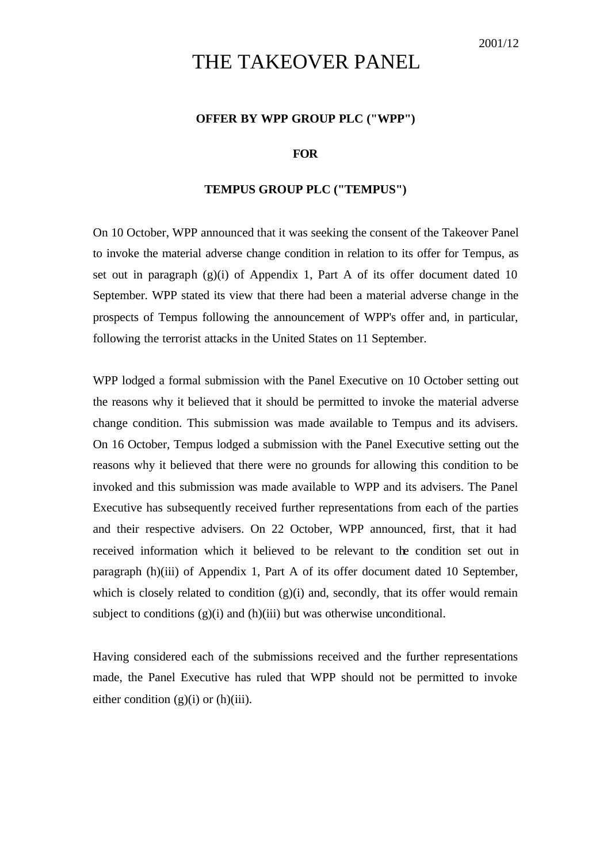## THE TAKEOVER PANEL

## **OFFER BY WPP GROUP PLC ("WPP")**

## **FOR**

## **TEMPUS GROUP PLC ("TEMPUS")**

On 10 October, WPP announced that it was seeking the consent of the Takeover Panel to invoke the material adverse change condition in relation to its offer for Tempus, as set out in paragraph  $(g)(i)$  of Appendix 1, Part A of its offer document dated 10 September. WPP stated its view that there had been a material adverse change in the prospects of Tempus following the announcement of WPP's offer and, in particular, following the terrorist attacks in the United States on 11 September.

WPP lodged a formal submission with the Panel Executive on 10 October setting out the reasons why it believed that it should be permitted to invoke the material adverse change condition. This submission was made available to Tempus and its advisers. On 16 October, Tempus lodged a submission with the Panel Executive setting out the reasons why it believed that there were no grounds for allowing this condition to be invoked and this submission was made available to WPP and its advisers. The Panel Executive has subsequently received further representations from each of the parties and their respective advisers. On 22 October, WPP announced, first, that it had received information which it believed to be relevant to the condition set out in paragraph (h)(iii) of Appendix 1, Part A of its offer document dated 10 September, which is closely related to condition  $(g)(i)$  and, secondly, that its offer would remain subject to conditions  $(g)(i)$  and  $(h)(iii)$  but was otherwise unconditional.

Having considered each of the submissions received and the further representations made, the Panel Executive has ruled that WPP should not be permitted to invoke either condition  $(g)(i)$  or  $(h)(iii)$ .